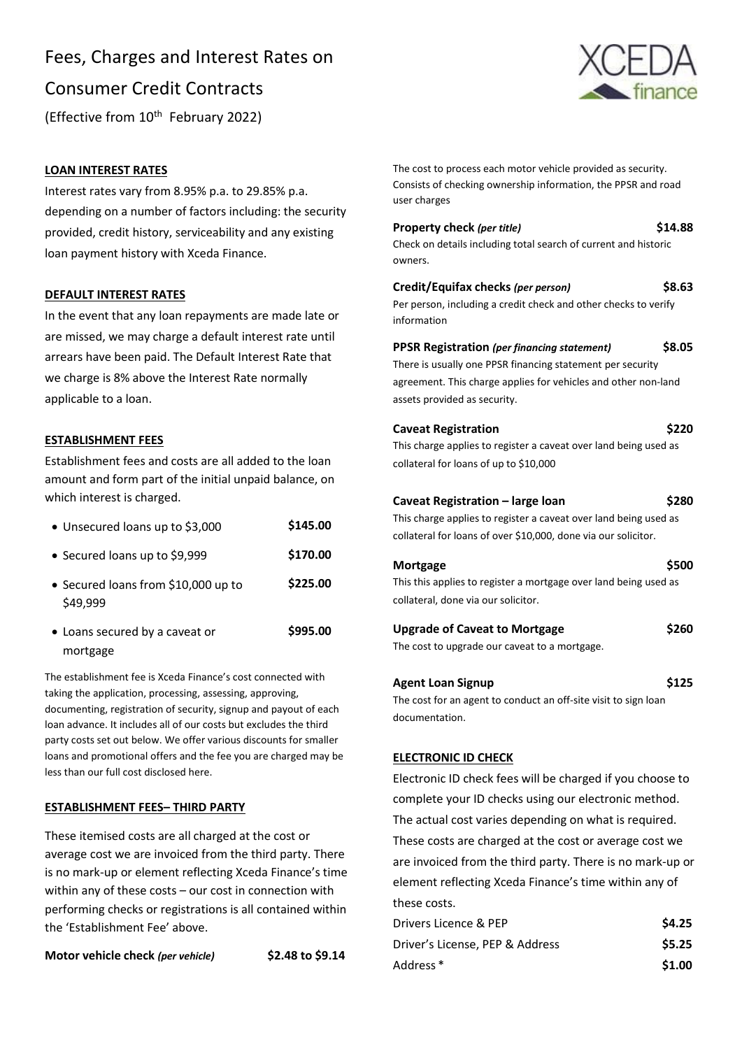# Fees, Charges and Interest Rates on Consumer Credit Contracts (Effective from 10<sup>th</sup> February 2022)



#### **LOAN INTEREST RATES**

Interest rates vary from 8.95% p.a. to 29.85% p.a. depending on a number of factors including: the security provided, credit history, serviceability and any existing loan payment history with Xceda Finance.

#### **DEFAULT INTEREST RATES**

In the event that any loan repayments are made late or are missed, we may charge a default interest rate until arrears have been paid. The Default Interest Rate that we charge is 8% above the Interest Rate normally applicable to a loan.

#### **ESTABLISHMENT FEES**

mortgage

Establishment fees and costs are all added to the loan amount and form part of the initial unpaid balance, on which interest is charged.

| • Unsecured loans up to \$3,000                 | \$145.00 |
|-------------------------------------------------|----------|
| • Secured loans up to \$9,999                   | \$170.00 |
| • Secured loans from \$10,000 up to<br>\$49,999 | \$225.00 |
| • Loans secured by a caveat or                  | \$995.00 |

The establishment fee is Xceda Finance's cost connected with taking the application, processing, assessing, approving, documenting, registration of security, signup and payout of each loan advance. It includes all of our costs but excludes the third party costs set out below. We offer various discounts for smaller loans and promotional offers and the fee you are charged may be less than our full cost disclosed here.

#### **ESTABLISHMENT FEES– THIRD PARTY**

These itemised costs are all charged at the cost or average cost we are invoiced from the third party. There is no mark-up or element reflecting Xceda Finance's time within any of these costs – our cost in connection with performing checks or registrations is all contained within the 'Establishment Fee' above.

**Motor vehicle check** *(per vehicle)* **\$2.48 to \$9.14**

The cost to process each motor vehicle provided as security. Consists of checking ownership information, the PPSR and road user charges

| Property check (per title)                                      | \$14.88      |
|-----------------------------------------------------------------|--------------|
| Check on details including total search of current and historic |              |
| owners.                                                         |              |
| Credit/Equifax checks (per person)                              | \$8.63       |
| Per person, including a credit check and other checks to verify |              |
| information                                                     |              |
| <b>PPSR Registration (per financing statement)</b>              | <b>S8.05</b> |
| There is usually one PPSR financing statement per security      |              |

agreement. This charge applies for vehicles and other non-land assets provided as security.

| <b>Caveat Registration</b> | \$220 |
|----------------------------|-------|
|----------------------------|-------|

This charge applies to register a caveat over land being used as collateral for loans of up to \$10,000

#### **Caveat Registration – large loan \$280**

This charge applies to register a caveat over land being used as collateral for loans of over \$10,000, done via our solicitor.

| Mortgage | \$500                                                            |  |
|----------|------------------------------------------------------------------|--|
|          | This this applies to register a mortgage over land being used as |  |

collateral, done via our solicitor.

#### **Upgrade of Caveat to Mortgage \$260**

The cost to upgrade our caveat to a mortgage.

#### **Agent Loan Signup \$125**

The cost for an agent to conduct an off-site visit to sign loan documentation.

#### **ELECTRONIC ID CHECK**

Electronic ID check fees will be charged if you choose to complete your ID checks using our electronic method. The actual cost varies depending on what is required. These costs are charged at the cost or average cost we are invoiced from the third party. There is no mark-up or element reflecting Xceda Finance's time within any of these costs.

| Drivers Licence & PEP           | \$4.25 |
|---------------------------------|--------|
| Driver's License, PEP & Address | \$5.25 |
| Address <sup>*</sup>            | \$1.00 |